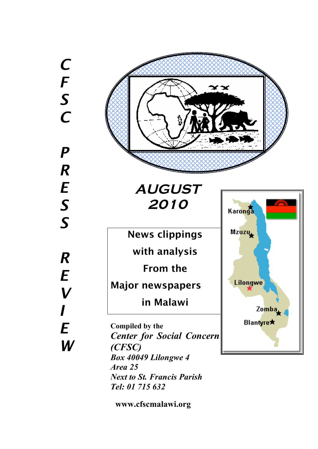*C F S C P R E S S R E V I E W*



**2010**

News clippings with analysis

From the

Major newspapers

in Malawi

**Compiled by the** *Center for Social Concern (CFSC) Box 40049 Lilongwe 4 Area 25 Next to St. Francis Parish Tel: 01 715 632*



**www.cfscmalawi.org**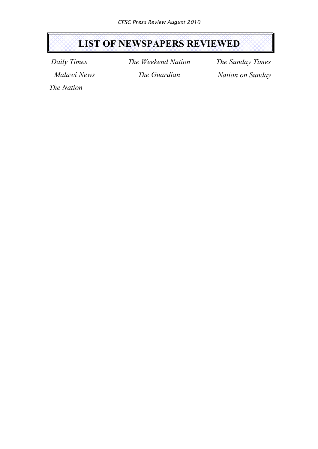# **LIST OF NEWSPAPERS REVIEWED**

*Daily Times Malawi News* *The Weekend Nation The Guardian*

*The Sunday Times Nation on Sunday*

*The Nation*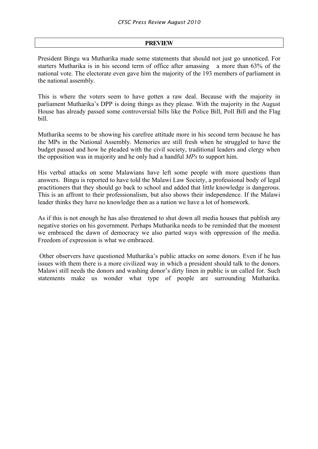## **PREVIEW**

President Bingu wa Mutharika made some statements that should not just go unnoticed. For starters Mutharika is in his second term of office after amassing a more than 63% of the national vote. The electorate even gave him the majority of the 193 members of parliament in the national assembly.

This is where the voters seem to have gotten a raw deal. Because with the majority in parliament Mutharika's DPP is doing things as they please. With the majority in the August House has already passed some controversial bills like the Police Bill, Poll Bill and the Flag bill.

Mutharika seems to be showing his carefree attitude more in his second term because he has the MPs in the National Assembly. Memories are still fresh when he struggled to have the budget passed and how he pleaded with the civil society, traditional leaders and clergy when the opposition was in majority and he only had a handful *MPs* to support him.

His verbal attacks on some Malawians have left some people with more questions than answers. Bingu is reported to have told the Malawi Law Society, a professional body of legal practitioners that they should go back to school and added that little knowledge is dangerous. This is an affront to their professionalism, but also shows their independence. If the Malawi leader thinks they have no knowledge then as a nation we have a lot of homework.

As if this is not enough he has also threatened to shut down all media houses that publish any negative stories on his government. Perhaps Mutharika needs to be reminded that the moment we embraced the dawn of democracy we also parted ways with oppression of the media. Freedom of expression is what we embraced.

Other observers have questioned Mutharika's public attacks on some donors. Even if he has issues with them there is a more civilized way in which a president should talk to the donors. Malawi still needs the donors and washing donor's dirty linen in public is un called for. Such statements make us wonder what type of people are surrounding Mutharika.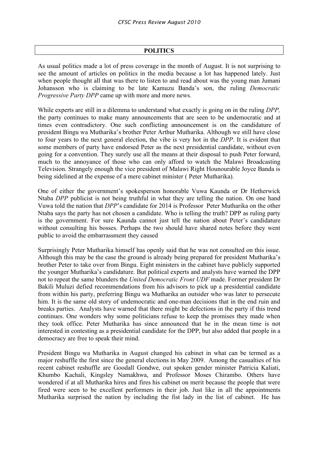## **POLITICS**

As usual politics made a lot of press coverage in the month of August. It is not surprising to see the amount of articles on politics in the media because a lot has happened lately. Just when people thought all that was there to listen to and read about was the young man Jumani Johansson who is claiming to be late Kamuzu Banda's son, the ruling *Democratic Progressive Party DPP* came up with more and more news.

While experts are still in a dilemma to understand what exactly is going on in the ruling *DPP,* the party continues to make many announcements that are seen to be undemocratic and at times even contradictory. One such conflicting announcement is on the candidature of president Bingu wa Mutharika's brother Peter Arthur Mutharika. Although we still have close to four years to the next general election, the vibe is very hot in the *DPP*. It is evident that some members of party have endorsed Peter as the next presidential candidate, without even going for a convention. They surely use all the means at their disposal to push Peter forward, much to the annoyance of those who can only afford to watch the Malawi Broadcasting Television. Strangely enough the vice president of Malawi Right Hounourable Joyce Banda is being sidelined at the expense of a mere cabinet minister ( Peter Mutharika).

One of either the government's spokesperson honorable Vuwa Kaunda or Dr Hetherwick Ntaba *DPP* publicist is not being truthful in what they are telling the nation. On one hand Vuwa told the nation that *DPP*'s candidate for 2014 is Professor Peter Mutharika on the other Ntaba says the party has not chosen a candidate. Who is telling the truth? DPP as ruling party is the government. For sure Kaunda cannot just tell the nation about Peter's candidature without consulting his bosses. Perhaps the two should have shared notes before they went public to avoid the embarrassment they caused

Surprisingly Peter Mutharika himself has openly said that he was not consulted on this issue. Although this may be the case the ground is already being prepared for president Mutharika's brother Peter to take over from Bingu. Eight ministers in the cabinet have publicly supported the younger Mutharika's candidature. But political experts and analysts have warned the DPP not to repeat the same blunders the *United Democratic Front UDF* made. Former president Dr Bakili Muluzi defied recommendations from his advisors to pick up a presidential candidate from within his party, preferring Bingu wa Mutharika an outsider who was later to persecute him. It is the same old story of undemocratic and one-man decisions that in the end ruin and breaks parties. Analysts have warned that there might be defections in the party if this trend continues. One wonders why some politicians refuse to keep the promises they made when they took office. Peter Mutharika has since announced that he in the mean time is not interested in contesting as a presidential candidate for the DPP, but also added that people in a democracy are free to speak their mind.

President Bingu wa Mutharika in August changed his cabinet in what can be termed as a major reshuffle the first since the general elections in May 2009. Among the casualties of his recent cabinet reshuffle are Goodall Gondwe, out spoken gender minister Patricia Kaliati, Khumbo Kachali, Kingsley Namakhwa, and Professor Moses Chirambo. Others have wondered if at all Mutharika hires and fires his cabinet on merit because the people that were fired were seen to be excellent performers in their job. Just like in all the appointments Mutharika surprised the nation by including the fist lady in the list of cabinet. He has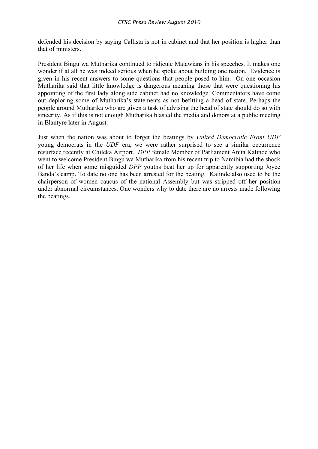defended his decision by saying Callista is not in cabinet and that her position is higher than that of ministers.

President Bingu wa Mutharika continued to ridicule Malawians in his speeches. It makes one wonder if at all he was indeed serious when he spoke about building one nation. Evidence is given in his recent answers to some questions that people posed to him. On one occasion Mutharika said that little knowledge is dangerous meaning those that were questioning his appointing of the first lady along side cabinet had no knowledge. Commentators have come out deploring some of Mutharika's statements as not befitting a head of state. Perhaps the people around Mutharika who are given a task of advising the head of state should do so with sincerity. As if this is not enough Mutharika blasted the media and donors at a public meeting in Blantyre later in August.

Just when the nation was about to forget the beatings by *United Democratic Front UDF* young democrats in the *UDF* era, we were rather surprised to see a similar occurrence resurface recently at Chileka Airport. *DPP* female Member of Parliament Anita Kalinde who went to welcome President Bingu wa Mutharika from his recent trip to Namibia had the shock of her life when some misguided *DPP* youths beat her up for apparently supporting Joyce Banda's camp. To date no one has been arrested for the beating. Kalinde also used to be the chairperson of women caucus of the national Assembly but was stripped off her position under abnormal circumstances. One wonders why to date there are no arrests made following the beatings.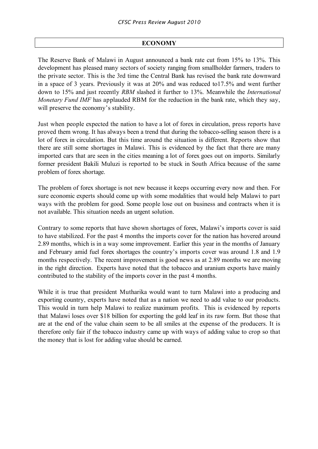# **ECONOMY**

The Reserve Bank of Malawi in August announced a bank rate cut from 15% to 13%. This development has pleased many sectors of society ranging from smallholder farmers, traders to the private sector. This is the 3rd time the Central Bank has revised the bank rate downward in a space of 3 years. Previously it was at 20% and was reduced to17.5% and went further down to 15% and just recently *RBM* slashed it further to 13%. Meanwhile the *International Monetary Fund IMF* has applauded RBM for the reduction in the bank rate, which they say, will preserve the economy's stability.

Just when people expected the nation to have a lot of forex in circulation, press reports have proved them wrong. It has always been a trend that during the tobacco-selling season there is a lot of forex in circulation. But this time around the situation is different. Reports show that there are still some shortages in Malawi. This is evidenced by the fact that there are many imported cars that are seen in the cities meaning a lot of forex goes out on imports. Similarly former president Bakili Muluzi is reported to be stuck in South Africa because of the same problem of forex shortage.

The problem of forex shortage is not new because it keeps occurring every now and then. For sure economic experts should come up with some modalities that would help Malawi to part ways with the problem for good. Some people lose out on business and contracts when it is not available. This situation needs an urgent solution.

Contrary to some reports that have shown shortages of forex, Malawi's imports cover is said to have stabilized. For the past 4 months the imports cover for the nation has hovered around 2.89 months, which is in a way some improvement. Earlier this year in the months of January and February amid fuel forex shortages the country's imports cover was around 1.8 and 1.9 months respectively. The recent improvement is good news as at 2.89 months we are moving in the right direction. Experts have noted that the tobacco and uranium exports have mainly contributed to the stability of the imports cover in the past 4 months.

While it is true that president Mutharika would want to turn Malawi into a producing and exporting country, experts have noted that as a nation we need to add value to our products. This would in turn help Malawi to realize maximum profits. This is evidenced by reports that Malawi loses over \$18 billion for exporting the gold leaf in its raw form. But those that are at the end of the value chain seem to be all smiles at the expense of the producers. It is therefore only fair if the tobacco industry came up with ways of adding value to crop so that the money that is lost for adding value should be earned.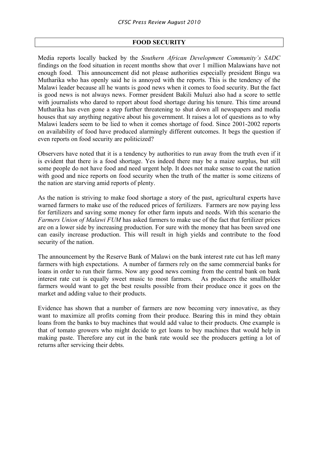# **FOOD SECURITY**

Media reports locally backed by the *Southern African Development Community's SADC* findings on the food situation in recent months show that over 1 million Malawians have not enough food. This announcement did not please authorities especially president Bingu wa Mutharika who has openly said he is annoyed with the reports. This is the tendency of the Malawi leader because all he wants is good news when it comes to food security. But the fact is good news is not always news. Former president Bakili Muluzi also had a score to settle with journalists who dared to report about food shortage during his tenure. This time around Mutharika has even gone a step further threatening to shut down all newspapers and media houses that say anything negative about his government. It raises a lot of questions as to why Malawi leaders seem to be lied to when it comes shortage of food. Since 2001-2002 reports on availability of food have produced alarmingly different outcomes. It begs the question if even reports on food security are politicized?

Observers have noted that it is a tendency by authorities to run away from the truth even if it is evident that there is a food shortage. Yes indeed there may be a maize surplus, but still some people do not have food and need urgent help. It does not make sense to coat the nation with good and nice reports on food security when the truth of the matter is some citizens of the nation are starving amid reports of plenty.

As the nation is striving to make food shortage a story of the past, agricultural experts have warned farmers to make use of the reduced prices of fertilizers. Farmers are now paying less for fertilizers and saving some money for other farm inputs and needs. With this scenario the *Farmers Union of Malawi FUM* has asked farmers to make use of the fact that fertilizer prices are on a lower side by increasing production. For sure with the money that has been saved one can easily increase production. This will result in high yields and contribute to the food security of the nation.

The announcement by the Reserve Bank of Malawi on the bank interest rate cut has left many farmers with high expectations. A number of farmers rely on the same commercial banks for loans in order to run their farms. Now any good news coming from the central bank on bank interest rate cut is equally sweet music to most farmers. As producers the smallholder farmers would want to get the best results possible from their produce once it goes on the market and adding value to their products.

Evidence has shown that a number of farmers are now becoming very innovative, as they want to maximize all profits coming from their produce. Bearing this in mind they obtain loans from the banks to buy machines that would add value to their products. One example is that of tomato growers who might decide to get loans to buy machines that would help in making paste. Therefore any cut in the bank rate would see the producers getting a lot of returns after servicing their debts.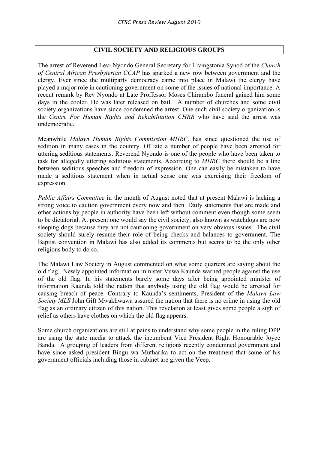# **CIVIL SOCIETY AND RELIGIOUS GROUPS**

The arrest of Reverend Levi Nyondo General Secretary for Livingstonia Synod of the *Church of Central African Presbyterian CCAP* has sparked a new row between government and the clergy. Ever since the multiparty democracy came into place in Malawi the clergy have played a major role in cautioning government on some of the issues of national importance. A recent remark by Rev Nyondo at Late Proffessor Moses Chirambo funeral gained him some days in the cooler. He was later released on bail. A number of churches and some civil society organizations have since condemned the arrest. One such civil society organization is the *Centre For Human Rights and Rehabilitation CHRR* who have said the arrest was undemocratic.

Meanwhile *Malawi Human Rights Commission MHRC,* has since questioned the use of sedition in many cases in the country. Of late a number of people have been arrested for uttering seditious statements. Reverend Nyondo is one of the people who have been taken to task for allegedly uttering seditious statements. According to *MHRC* there should be a line between seditious speeches and freedom of expression. One can easily be mistaken to have made a seditious statement when in actual sense one was exercising their freedom of expression.

*Public Affairs Committee* in the month of August noted that at present Malawi is lacking a strong voice to caution government every now and then. Daily statements that are made and other actions by people in authority have been left without comment even though some seem to be dictatorial. At present one would say the civil society, also known as watchdogs are now sleeping dogs because they are not cautioning government on very obvious issues. The civil society should surely resume their role of being checks and balances to government. The Baptist convention in Malawi has also added its comments but seems to be the only other religious body to do so.

The Malawi Law Society in August commented on what some quarters are saying about the old flag. Newly appointed information minister Vuwa Kaunda warned people against the use of the old flag. In his statements barely some days after being appointed minister of information Kaunda told the nation that anybody using the old flag would be arrested for causing breach of peace. Contrary to Kaunda's sentiments, President of the *Malawi Law Society MLS* John Gift Mwakhwawa assured the nation that there is no crime in using the old flag as an ordinary citizen of this nation. This revelation at least gives some people a sigh of relief as others have clothes on which the old flag appears.

Some church organizations are still at pains to understand why some people in the ruling DPP are using the state media to attack the incumbent Vice President Right Honourable Joyce Banda. A grouping of leaders from different religions recently condemned government and have since asked president Bingu wa Mutharika to act on the treatment that some of his government officials including those in cabinet are given the Veep.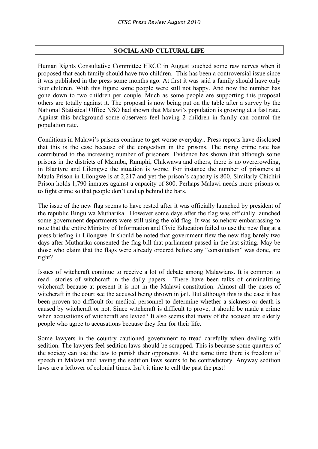# **SOCIAL AND CULTURALLIFE**

Human Rights Consultative Committee HRCC in August touched some raw nerves when it proposed that each family should have two children. This has been a controversial issue since it was published in the press some months ago. At first it was said a family should have only four children. With this figure some people were still not happy. And now the number has gone down to two children per couple. Much as some people are supporting this proposal others are totally against it. The proposal is now being put on the table after a survey by the National Statistical Office NSO had shown that Malawi's population is growing at a fast rate. Against this background some observers feel having 2 children in family can control the population rate.

Conditions in Malawi's prisons continue to get worse everyday.. Press reports have disclosed that this is the case because of the congestion in the prisons. The rising crime rate has contributed to the increasing number of prisoners. Evidence has shown that although some prisons in the districts of Mzimba, Rumphi, Chikwawa and others, there is no overcrowding, in Blantyre and Lilongwe the situation is worse. For instance the number of prisoners at Maula Prison in Lilongwe is at 2,217 and yet the prison's capacity is 800. Similarly Chichiri Prison holds 1,790 inmates against a capacity of 800. Perhaps Malawi needs more prisons or to fight crime so that people don't end up behind the bars.

The issue of the new flag seems to have rested after it was officially launched by president of the republic Bingu wa Mutharika. However some days after the flag was officially launched some government departments were still using the old flag. It was somehow embarrassing to note that the entire Ministry of Information and Civic Education failed to use the new flag at a press briefing in Lilongwe. It should be noted that government flew the new flag barely two days after Mutharika consented the flag bill that parliament passed in the last sitting. May be those who claim that the flags were already ordered before any "consultation" was done, are right?

Issues of witchcraft continue to receive a lot of debate among Malawians. It is common to read stories of witchcraft in the daily papers. There have been talks of criminalizing witchcraft because at present it is not in the Malawi constitution. Almost all the cases of witchcraft in the court see the accused being thrown in jail. But although this is the case it has been proven too difficult for medical personnel to determine whether a sickness or death is caused by witchcraft or not. Since witchcraft is difficult to prove, it should be made a crime when accusations of witchcraft are levied? It also seems that many of the accused are elderly people who agree to accusations because they fear for their life.

Some lawyers in the country cautioned government to tread carefully when dealing with sedition. The lawyers feel sedition laws should be scrapped. This is because some quarters of the society can use the law to punish their opponents. At the same time there is freedom of speech in Malawi and having the sedition laws seems to be contradictory. Anyway sedition laws are a leftover of colonial times. Isn't it time to call the past the past!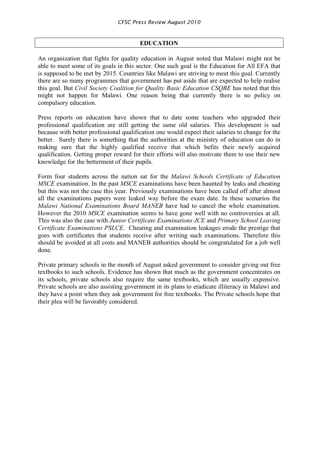# **EDUCATION**

An organization that fights for quality education in August noted that Malawi might not be able to meet some of its goals in this sector. One such goal is the Education for All EFA that is supposed to be met by 2015. Countries like Malawi are striving to meet this goal. Currently there are so many programmes that government has put aside that are expected to help realise this goal. But *Civil Society Coalition for Quality Basic Education CSQBE* has noted that this might not happen for Malawi. One reason being that currently there is no policy on compulsory education.

Press reports on education have shown that to date some teachers who upgraded their professional qualification are still getting the same old salaries. This development is sad because with better professional qualification one would expect their salaries to change for the better. Surely there is something that the authorities at the ministry of education can do in making sure that the highly qualified receive that which befits their newly acquired qualification. Getting proper reward for their efforts will also motivate them to use their new knowledge for the betterment of their pupils.

Form four students across the nation sat for the *Malawi Schools Certificate of Education MSCE* examination. In the past *MSCE* examinations have been haunted by leaks and cheating but this was not the case this year. Previously examinations have been called off after almost all the examinations papers were leaked way before the exam date. In these scenarios the *Malawi National Examinations Board MANEB* have had to cancel the whole examination. However the 2010 *MSCE* examination seems to have gone well with no controversies at all. This was also the case with *Junior Certificate Examinations JCE* and *Primary School Leaving Certificate Examinations PSLCE.* Cheating and examination leakages erode the prestige that goes with certificates that students receive after writing such examinations. Therefore this should be avoided at all costs and MANEB authorities should be congratulated for a job well done.

Private primary schools in the month of August asked government to consider giving out free textbooks to such schools. Evidence has shown that much as the government concentrates on its schools, private schools also require the same textbooks, which are usually expensive. Private schools are also assisting government in its plans to eradicate illiteracy in Malawi and they have a point when they ask government for free textbooks. The Private schools hope that their plea will be favorably considered.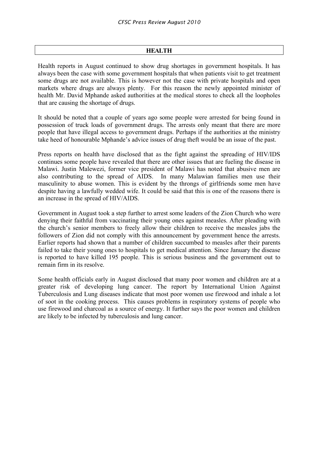### **HEALTH**

Health reports in August continued to show drug shortages in government hospitals. It has always been the case with some government hospitals that when patients visit to get treatment some drugs are not available. This is however not the case with private hospitals and open markets where drugs are always plenty. For this reason the newly appointed minister of health Mr. David Mphande asked authorities at the medical stores to check all the loopholes that are causing the shortage of drugs.

It should be noted that a couple of years ago some people were arrested for being found in possession of truck loads of government drugs. The arrests only meant that there are more people that have illegal access to government drugs. Perhaps if the authorities at the ministry take heed of honourable Mphande's advice issues of drug theft would be an issue of the past.

Press reports on health have disclosed that as the fight against the spreading of HIV/IDS continues some people have revealed that there are other issues that are fueling the disease in Malawi. Justin Malewezi, former vice president of Malawi has noted that abusive men are also contributing to the spread of AIDS. In many Malawian families men use their masculinity to abuse women. This is evident by the throngs of girlfriends some men have despite having a lawfully wedded wife. It could be said that this is one of the reasons there is an increase in the spread of HIV/AIDS.

Government in August took a step further to arrest some leaders of the Zion Church who were denying their faithful from vaccinating their young ones against measles. After pleading with the church's senior members to freely allow their children to receive the measles jabs the followers of Zion did not comply with this announcement by government hence the arrests. Earlier reports had shown that a number of children succumbed to measles after their parents failed to take their young ones to hospitals to get medical attention. Since January the disease is reported to have killed 195 people. This is serious business and the government out to remain firm in its resolve.

Some health officials early in August disclosed that many poor women and children are at a greater risk of developing lung cancer. The report by International Union Against Tuberculosis and Lung diseases indicate that most poor women use firewood and inhale a lot of soot in the cooking process. This causes problems in respiratory systems of people who use firewood and charcoal as a source of energy. It further says the poor women and children are likely to be infected by tuberculosis and lung cancer.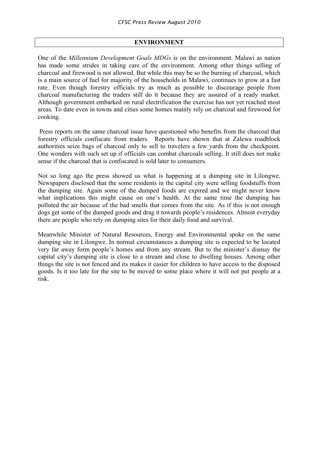# **ENVIRONMENT**

One of the *Millennium Development Goals MDGs* is on the environment. Malawi as nation has made some strides in taking care of the environment. Among other things selling of charcoal and firewood is not allowed. But while this may be so the burning of charcoal, which is a main source of fuel for majority of the households in Malawi, continues to grow at a fast rate. Even though forestry officials try as much as possible to discourage people from charcoal manufacturing the traders still do it because they are assured of a ready market. Although government embarked on rural electrification the exercise has not yet reached most areas. To date even in towns and cities some homes mainly rely on charcoal and firewood for cooking.

Press reports on the same charcoal issue have questioned who benefits from the charcoal that forestry officials confiscate from traders. Reports have shown that at Zalewa roadblock authorities seize bags of charcoal only to sell to travelers a few yards from the checkpoint. One wonders with such set up if officials can combat charcoals selling. It still does not make sense if the charcoal that is confiscated is sold later to consumers.

Not so long ago the press showed us what is happening at a dumping site in Lilongwe. Newspapers disclosed that the some residents in the capital city were selling foodstuffs from the dumping site. Again some of the dumped foods are expired and we might never know what implications this might cause on one's health. At the same time the dumping has polluted the air because of the bad smells that comes from the site. As if this is not enough dogs get some of the dumped goods and drag it towards people's residences. Almost everyday there are people who rely on dumping sites for their daily food and survival.

Meanwhile Minister of Natural Resources, Energy and Environmental spoke on the same dumping site in Lilongwe. In normal circumstances a dumping site is expected to be located very far away form people's homes and from any stream. But to the minister's dismay the capital city's dumping site is close to a stream and close to dwelling houses. Among other things the site is not fenced and its makes it easier for children to have access to the disposed goods. Is it too late for the site to be moved to some place where it will not put people at a risk.